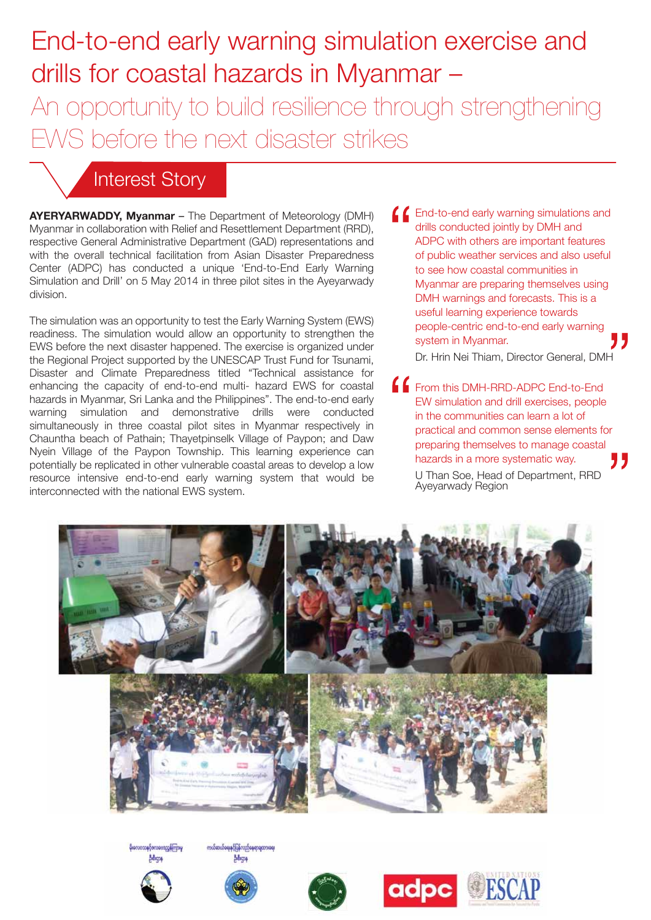# End-to-end early warning simulation exercise and drills for coastal hazards in Myanmar – An opportunity to build resilience through strengthening EWS before the next disaster strikes

## Interest Story

**AYERYARWADDY, Myanmar** – The Department of Meteorology (DMH) Myanmar in collaboration with Relief and Resettlement Department (RRD), respective General Administrative Department (GAD) representations and with the overall technical facilitation from Asian Disaster Preparedness Center (ADPC) has conducted a unique 'End-to-End Early Warning Simulation and Drill' on 5 May 2014 in three pilot sites in the Ayeyarwady division.

The simulation was an opportunity to test the Early Warning System (EWS) readiness. The simulation would allow an opportunity to strengthen the EWS before the next disaster happened. The exercise is organized under the Regional Project supported by the UNESCAP Trust Fund for Tsunami, Disaster and Climate Preparedness titled "Technical assistance for enhancing the capacity of end-to-end multi- hazard EWS for coastal hazards in Myanmar, Sri Lanka and the Philippines". The end-to-end early warning simulation and demonstrative drills were conducted simultaneously in three coastal pilot sites in Myanmar respectively in Chauntha beach of Pathain; Thayetpinselk Village of Paypon; and Daw Nyein Village of the Paypon Township. This learning experience can potentially be replicated in other vulnerable coastal areas to develop a low resource intensive end-to-end early warning system that would be interconnected with the national EWS system.

**C** End-to-end early warning simulations and drills conducted jointly by DMH and ADPC with others are important features of public weather services and also useful to see how coastal communities in Myanmar are preparing themselves using DMH warnings and forecasts. This is a useful learning experience towards people-centric end-to-end early warning system in Myanmar.

Dr. Hrin Nei Thiam, Director General, DMH

**FROM THE DIGHT-RRD-ADPC End-to-End** EW simulation and drill exercises, people in the communities can learn a lot of practical and common sense elements for preparing themselves to manage coastal hazards in a more systematic way. U Than Soe, Head of Department, RRD Ayeyarwady Region

adpc **ESCAP**